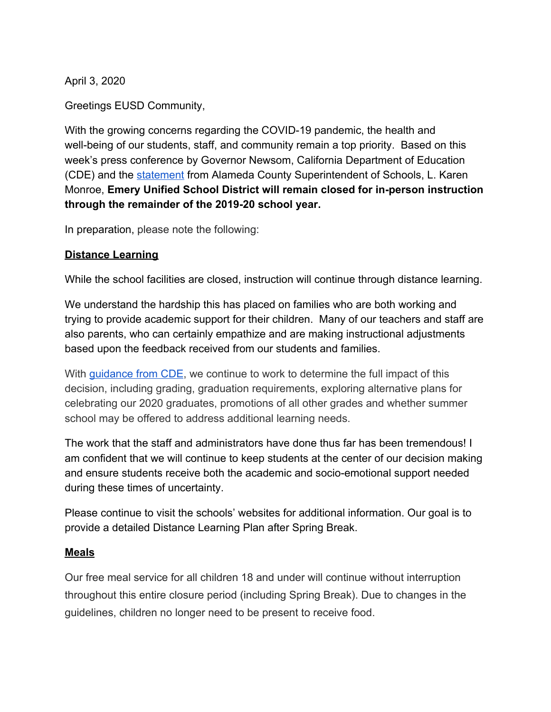April 3, 2020

Greetings EUSD Community,

With the growing concerns regarding the COVID-19 pandemic, the health and well-being of our students, staff, and community remain a top priority. Based on this week's press conference by Governor Newsom, California Department of Education (CDE) and the [statement](https://mailchi.mp/acoe/alameda-county-superintendent-statement-regarding-extended-school-closures?e=8e2de779c0) from Alameda County Superintendent of Schools, L. Karen Monroe, **Emery Unified School District will remain closed for in-person instruction through the remainder of the 2019-20 school year.**

In preparation, please note the following:

### **Distance Learning**

While the school facilities are closed, instruction will continue through distance learning.

We understand the hardship this has placed on families who are both working and trying to provide academic support for their children. Many of our teachers and staff are also parents, who can certainly empathize and are making instructional adjustments based upon the feedback received from our students and families.

With quidance from CDE, we continue to work to determine the full impact of this decision, including grading, graduation requirements, exploring alternative plans for celebrating our 2020 graduates, promotions of all other grades and whether summer school may be offered to address additional learning needs.

The work that the staff and administrators have done thus far has been tremendous! I am confident that we will continue to keep students at the center of our decision making and ensure students receive both the academic and socio-emotional support needed during these times of uncertainty.

Please continue to visit the schools' websites for additional information. Our goal is to provide a detailed Distance Learning Plan after Spring Break.

#### **Meals**

Our free meal service for all children 18 and under will continue without interruption throughout this entire closure period (including Spring Break). Due to changes in the guidelines, children no longer need to be present to receive food.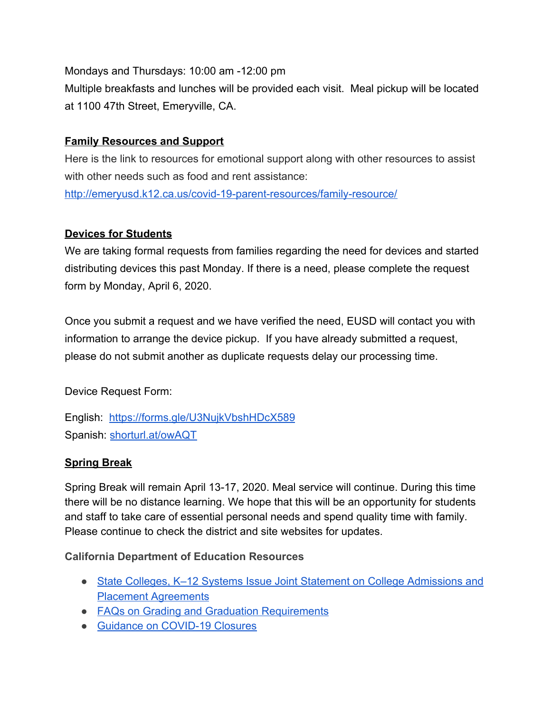Mondays and Thursdays: 10:00 am -12:00 pm

Multiple breakfasts and lunches will be provided each visit. Meal pickup will be located at 1100 47th Street, Emeryville, CA.

# **Family Resources and Support**

Here is the link to resources for emotional support along with other resources to assist with other needs such as food and rent assistance: <http://emeryusd.k12.ca.us/covid-19-parent-resources/family-resource/>

# **Devices for Students**

We are taking formal requests from families regarding the need for devices and started distributing devices this past Monday. If there is a need, please complete the request form by Monday, April 6, 2020.

Once you submit a request and we have verified the need, EUSD will contact you with information to arrange the device pickup. If you have already submitted a request, please do not submit another as duplicate requests delay our processing time.

Device Request Form:

English: <https://forms.gle/U3NujkVbshHDcX589> Spanish: [shorturl.at/owAQT](http://shorturl.at/owAQT)

# **Spring Break**

Spring Break will remain April 13-17, 2020. Meal service will continue. During this time there will be no distance learning. We hope that this will be an opportunity for students and staff to take care of essential personal needs and spend quality time with family. Please continue to check the district and site websites for updates.

#### **California Department of Education Resources**

- State Colleges, K-12 Systems Issue Joint Statement on College Admissions and [Placement Agreements](https://www.cde.ca.gov/ls/he/hn/documents/jointk12highereducation.docx)
- [FAQs on Grading and Graduation Requirements](https://www.cde.ca.gov/ls/he/hn/gradegraduationfaq.asp)
- [Guidance on COVID-19 Closures](https://www.cde.ca.gov/ls/he/hn/covid19schoolclosures.asp)